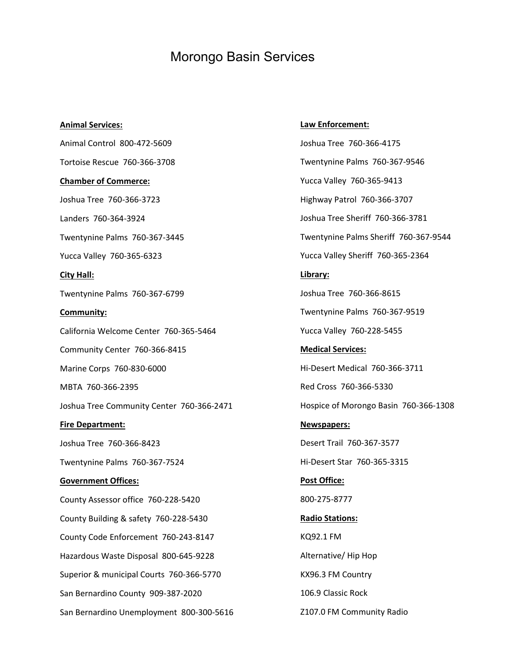## Morongo Basin Services

**Animal Services:** Animal Control 800-472-5609 Tortoise Rescue 760-366-3708 **Chamber of Commerce:** Joshua Tree 760-366-3723 Landers 760-364-3924 Twentynine Palms 760-367-3445 Yucca Valley 760-365-6323 **City Hall:** Twentynine Palms 760-367-6799 **Community:** California Welcome Center 760-365-5464 Community Center 760-366-8415 Marine Corps 760-830-6000 MBTA 760-366-2395 Joshua Tree Community Center 760-366-2471 **Fire Department:** Joshua Tree 760-366-8423 Twentynine Palms 760-367-7524 **Government Offices:** County Assessor office 760-228-5420 County Building & safety 760-228-5430 County Code Enforcement 760-243-8147 Hazardous Waste Disposal 800-645-9228 Superior & municipal Courts 760-366-5770 San Bernardino County 909-387-2020 San Bernardino Unemployment 800-300-5616

## **Law Enforcement:**

Joshua Tree 760-366-4175 Twentynine Palms 760-367-9546 Yucca Valley 760-365-9413 Highway Patrol 760-366-3707 Joshua Tree Sheriff 760-366-3781 Twentynine Palms Sheriff 760-367-9544 Yucca Valley Sheriff 760-365-2364 **Library:** Joshua Tree 760-366-8615 Twentynine Palms 760-367-9519 Yucca Valley 760-228-5455 **Medical Services:** Hi-Desert Medical 760-366-3711 Red Cross 760-366-5330 Hospice of Morongo Basin 760-366-1308 **Newspapers:** Desert Trail 760-367-3577 Hi-Desert Star 760-365-3315 **Post Office:** 800-275-8777 **Radio Stations:** KQ92.1 FM Alternative/ Hip Hop KX96.3 FM Country 106.9 Classic Rock Z107.0 FM Community Radio